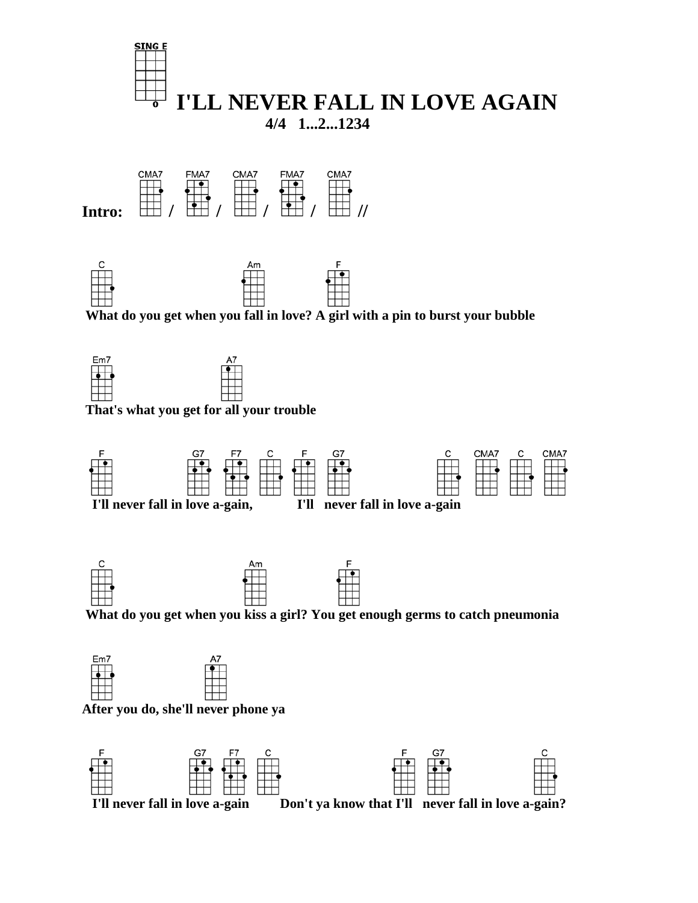

## **I'LL NEVER FALL IN LOVE AGAIN 4/4 1...2...1234**





 **What do you get when you fall in love? A girl with a pin to burst your bubble**





 **That's what you get for all your trouble**



 **What do you get when you kiss a girl? You get enough germs to catch pneumonia**



 **After you do, she'll never phone ya**



 **I'll never fall in love a-gain Don't ya know that I'll never fall in love a-gain?**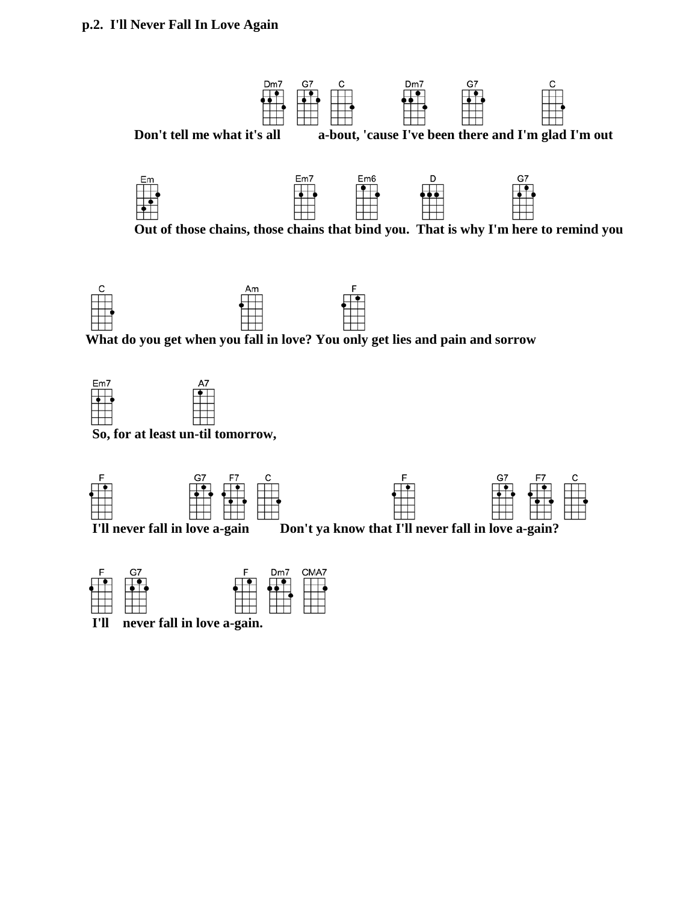





 **Out of those chains, those chains that bind you. That is why I'm here to remind you**



 **What do you get when you fall in love? You only get lies and pain and sorrow**



 **So, for at least un-til tomorrow,**



**I'll never fall in love a-gain** Don't ya know that **I'll never fall in love a-gain?** 

| G7 |  | Dm7 | CMA7 |
|----|--|-----|------|
|    |  |     |      |
|    |  |     |      |

 **I'll never fall in love a-gain.**